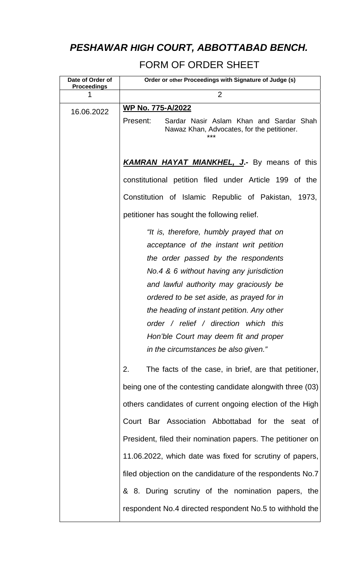## *PESHAWAR HIGH COURT, ABBOTTABAD BENCH.*

## FORM OF ORDER SHEET

| Date of Order of<br><b>Proceedings</b> | Order or other Proceedings with Signature of Judge (s)                                                                                                                                                                                                                                                                                                                                                                                |
|----------------------------------------|---------------------------------------------------------------------------------------------------------------------------------------------------------------------------------------------------------------------------------------------------------------------------------------------------------------------------------------------------------------------------------------------------------------------------------------|
|                                        | 2                                                                                                                                                                                                                                                                                                                                                                                                                                     |
| 16.06.2022                             | <b>WP No. 775-A/2022</b><br>Present:<br>Sardar Nasir Aslam Khan and Sardar Shah<br>Nawaz Khan, Advocates, for the petitioner.<br>***                                                                                                                                                                                                                                                                                                  |
|                                        | <b>KAMRAN HAYAT MIANKHEL, J.-</b> By means of this                                                                                                                                                                                                                                                                                                                                                                                    |
|                                        | constitutional petition filed under Article 199 of the                                                                                                                                                                                                                                                                                                                                                                                |
|                                        | Constitution of Islamic Republic of Pakistan, 1973,                                                                                                                                                                                                                                                                                                                                                                                   |
|                                        | petitioner has sought the following relief.                                                                                                                                                                                                                                                                                                                                                                                           |
|                                        | "It is, therefore, humbly prayed that on<br>acceptance of the instant writ petition<br>the order passed by the respondents<br>No.4 & 6 without having any jurisdiction<br>and lawful authority may graciously be<br>ordered to be set aside, as prayed for in<br>the heading of instant petition. Any other<br>order / relief / direction which this<br>Hon'ble Court may deem fit and proper<br>in the circumstances be also given." |
|                                        | 2.<br>The facts of the case, in brief, are that petitioner,                                                                                                                                                                                                                                                                                                                                                                           |
|                                        | being one of the contesting candidate alongwith three (03)                                                                                                                                                                                                                                                                                                                                                                            |
|                                        | others candidates of current ongoing election of the High                                                                                                                                                                                                                                                                                                                                                                             |
|                                        | Court Bar Association Abbottabad for the seat of                                                                                                                                                                                                                                                                                                                                                                                      |
|                                        | President, filed their nomination papers. The petitioner on                                                                                                                                                                                                                                                                                                                                                                           |
|                                        | 11.06.2022, which date was fixed for scrutiny of papers,                                                                                                                                                                                                                                                                                                                                                                              |
|                                        | filed objection on the candidature of the respondents No.7                                                                                                                                                                                                                                                                                                                                                                            |
|                                        | & 8. During scrutiny of the nomination papers, the<br>respondent No.4 directed respondent No.5 to withhold the                                                                                                                                                                                                                                                                                                                        |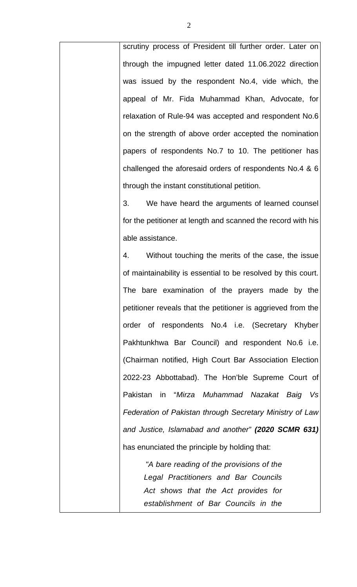scrutiny process of President till further order. Later on through the impugned letter dated 11.06.2022 direction was issued by the respondent No.4, vide which, the appeal of Mr. Fida Muhammad Khan, Advocate, for relaxation of Rule-94 was accepted and respondent No.6 on the strength of above order accepted the nomination papers of respondents No.7 to 10. The petitioner has challenged the aforesaid orders of respondents No.4 & 6 through the instant constitutional petition.

3. We have heard the arguments of learned counsel for the petitioner at length and scanned the record with his able assistance.

4. Without touching the merits of the case, the issue of maintainability is essential to be resolved by this court. The bare examination of the prayers made by the petitioner reveals that the petitioner is aggrieved from the order of respondents No.4 i.e. (Secretary Khyber Pakhtunkhwa Bar Council) and respondent No.6 i.e. (Chairman notified, High Court Bar Association Election 2022-23 Abbottabad). The Hon'ble Supreme Court of Pakistan in "*Mirza Muhammad Nazakat Baig Vs Federation of Pakistan through Secretary Ministry of Law and Justice, Islamabad and another" (2020 SCMR 631)* has enunciated the principle by holding that:

> *"A bare reading of the provisions of the Legal Practitioners and Bar Councils Act shows that the Act provides for establishment of Bar Councils in the*

2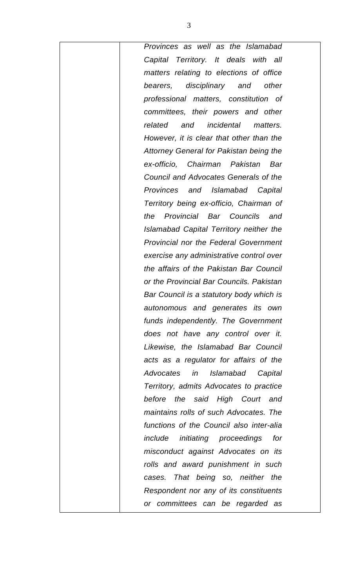*Provinces as well as the Islamabad Capital Territory. It deals with all matters relating to elections of office bearers, disciplinary and other professional matters, constitution of committees, their powers and other related and incidental matters. However, it is clear that other than the Attorney General for Pakistan being the ex-officio, Chairman Pakistan Bar Council and Advocates Generals of the Provinces and Islamabad Capital Territory being ex-officio, Chairman of the Provincial Bar Councils and Islamabad Capital Territory neither the Provincial nor the Federal Government exercise any administrative control over the affairs of the Pakistan Bar Council or the Provincial Bar Councils. Pakistan Bar Council is a statutory body which is autonomous and generates its own funds independently. The Government does not have any control over it. Likewise, the Islamabad Bar Council acts as a regulator for affairs of the Advocates in Islamabad Capital Territory, admits Advocates to practice before the said High Court and maintains rolls of such Advocates. The functions of the Council also inter-alia include initiating proceedings for misconduct against Advocates on its rolls and award punishment in such cases. That being so, neither the Respondent nor any of its constituents or committees can be regarded as*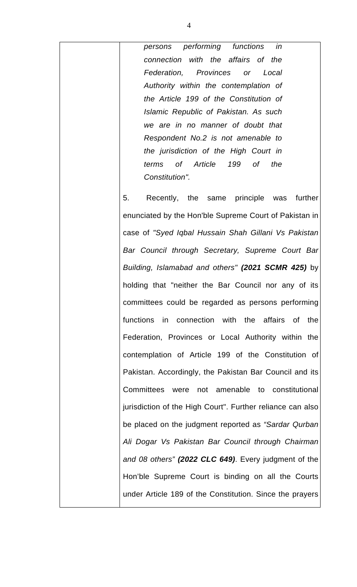*persons performing functions in connection with the affairs of the Federation, Provinces or Local Authority within the contemplation of the Article 199 of the Constitution of Islamic Republic of Pakistan. As such we are in no manner of doubt that Respondent No.2 is not amenable to the jurisdiction of the High Court in terms of Article 199 of the Constitution".* 

5. Recently, the same principle was further enunciated by the Hon'ble Supreme Court of Pakistan in case of *"Syed Iqbal Hussain Shah Gillani Vs Pakistan Bar Council through Secretary, Supreme Court Bar Building, Islamabad and others" (2021 SCMR 425)* by holding that "neither the Bar Council nor any of its committees could be regarded as persons performing functions in connection with the affairs of the Federation, Provinces or Local Authority within the contemplation of Article 199 of the Constitution of Pakistan. Accordingly, the Pakistan Bar Council and its Committees were not amenable to constitutional jurisdiction of the High Court". Further reliance can also be placed on the judgment reported as *"Sardar Qurban Ali Dogar Vs Pakistan Bar Council through Chairman and 08 others" (2022 CLC 649)*. Every judgment of the Hon'ble Supreme Court is binding on all the Courts under Article 189 of the Constitution. Since the prayers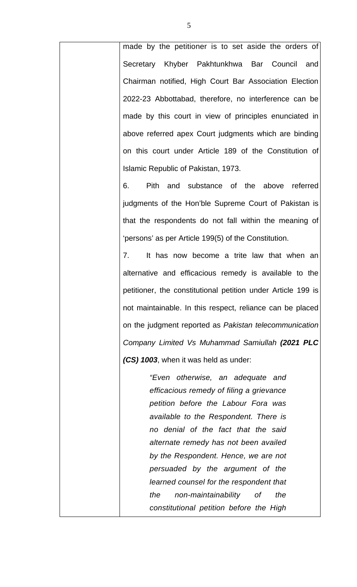made by the petitioner is to set aside the orders of Secretary Khyber Pakhtunkhwa Bar Council and Chairman notified, High Court Bar Association Election 2022-23 Abbottabad, therefore, no interference can be made by this court in view of principles enunciated in above referred apex Court judgments which are binding on this court under Article 189 of the Constitution of Islamic Republic of Pakistan, 1973.

6. Pith and substance of the above referred judgments of the Hon'ble Supreme Court of Pakistan is that the respondents do not fall within the meaning of 'persons' as per Article 199(5) of the Constitution.

7. It has now become a trite law that when an alternative and efficacious remedy is available to the petitioner, the constitutional petition under Article 199 is not maintainable. In this respect, reliance can be placed on the judgment reported as *Pakistan telecommunication Company Limited Vs Muhammad Samiullah (2021 PLC (CS) 1003*, when it was held as under:

> *"Even otherwise, an adequate and efficacious remedy of filing a grievance petition before the Labour Fora was available to the Respondent. There is no denial of the fact that the said alternate remedy has not been availed by the Respondent. Hence, we are not persuaded by the argument of the learned counsel for the respondent that the non-maintainability of the constitutional petition before the High*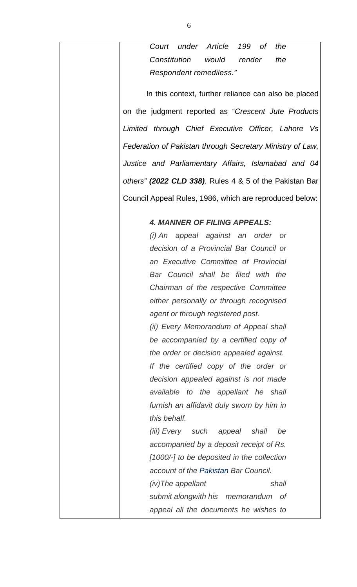*Court under Article 199 of the Constitution would render the Respondent remediless."* 

 In this context, further reliance can also be placed on the judgment reported as "*Crescent Jute Products Limited through Chief Executive Officer, Lahore Vs Federation of Pakistan through Secretary Ministry of Law, Justice and Parliamentary Affairs, Islamabad and 04 others" (2022 CLD 338)*. Rules 4 & 5 of the Pakistan Bar Council Appeal Rules, 1986, which are reproduced below:

## *4. MANNER OF FILING APPEALS:*

*(i) An appeal against an order or decision of a Provincial Bar Council or an Executive Committee of Provincial Bar Council shall be filed with the Chairman of the respective Committee either personally or through recognised agent or through registered post.* 

*(ii) Every Memorandum of Appeal shall be accompanied by a certified copy of the order or decision appealed against. If the certified copy of the order or decision appealed against is not made available to the appellant he shall furnish an affidavit duly sworn by him in this behalf.* 

*(iii) Every such appeal shall be accompanied by a deposit receipt of Rs. [1000/-] to be deposited in the collection account of the Pakistan Bar Council.* 

*(iv)The appellant shall submit alongwith his memorandum of appeal all the documents he wishes to*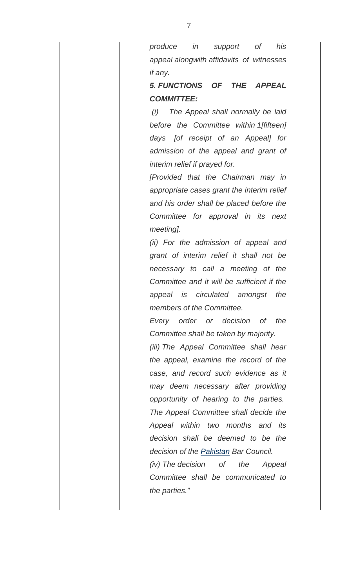| in<br>0f<br>his<br>produce<br>support                           |
|-----------------------------------------------------------------|
| appeal alongwith affidavits of witnesses                        |
| if any.                                                         |
| <i><b>5. FUNCTIONS</b></i><br>OF<br><b>THE</b><br><b>APPEAL</b> |
| <b>COMMITTEE:</b>                                               |
| (i)<br>The Appeal shall normally be laid                        |
| before the Committee within 1 [fifteen]                         |
| days [of receipt of an Appeal] for                              |
| admission of the appeal and grant of                            |
| interim relief if prayed for.                                   |
| [Provided that the Chairman may in                              |
| appropriate cases grant the interim relief                      |
| and his order shall be placed before the                        |
| Committee for approval in its next                              |
| meeting].                                                       |
| (ii) For the admission of appeal and                            |
| grant of interim relief it shall not be                         |
| necessary to call a meeting of the                              |
| Committee and it will be sufficient if the                      |
| <i>is</i> circulated<br>the<br>amongst<br>appeal                |
| members of the Committee.                                       |
| Every order or decision of the                                  |
| Committee shall be taken by majority.                           |
| (iii) The Appeal Committee shall hear                           |
| the appeal, examine the record of the                           |
| case, and record such evidence as it                            |
| may deem necessary after providing                              |
| opportunity of hearing to the parties.                          |
| The Appeal Committee shall decide the                           |
| Appeal within two months and its                                |
| decision shall be deemed to be the                              |
| decision of the Pakistan Bar Council.                           |
| (iv) The decision of the<br>Appeal                              |
| Committee shall be communicated to                              |
| the parties."                                                   |
|                                                                 |